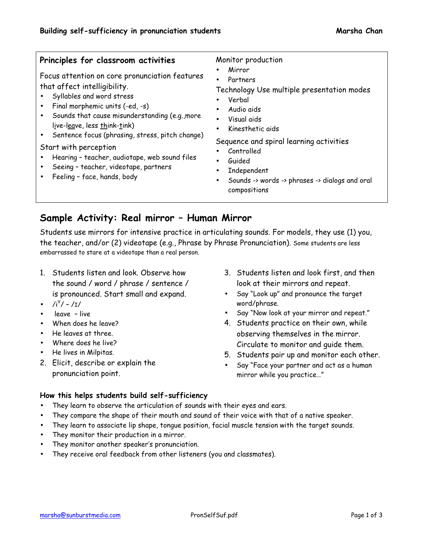#### **Principles for classroom activities** Focus attention on core pronunciation features Monitor production • Mirror

that affect intelligibility.

- Syllables and word stress
- Final morphemic units (-ed, -s)
- Sounds that cause misunderstanding (e.g.,more live-leave, less think-tink)
- Sentence focus (phrasing, stress, pitch change)

Start with perception

- Hearing teacher, audiotape, web sound files
- Seeing teacher, videotape, partners
- Feeling face, hands, body
- **Partners**
- Technology Use multiple presentation modes
- Verbal
- Audio aids
- Visual aids
- Kinesthetic aids

Sequence and spiral learning activities

- Controlled
- Guided
- **Independent**
- Sounds -> words -> phrases -> dialogs and oral compositions

## **Sample Activity: Real mirror – Human Mirror**

Students use mirrors for intensive practice in articulating sounds. For models, they use (1) you, the teacher, and/or (2) videotape (e.g., Phrase by Phrase Pronunciation). Some students are less embarrassed to stare at a videotape than a real person.

- 1. Students listen and look. Observe how the sound / word / phrase / sentence / is pronounced. Start small and expand.
- $/i^{\gamma}/- /I/$
- leave live
- When does he leave?
- He leaves at three.
- Where does he live?
- He lives in Milpitas.
- 2. Elicit, describe or explain the pronunciation point.
- 3. Students listen and look first, and then look at their mirrors and repeat.
- Say "Look up" and pronounce the target word/phrase.
- Say "Now look at your mirror and repeat."
- 4. Students practice on their own, while observing themselves in the mirror. Circulate to monitor and guide them.
- 5. Students pair up and monitor each other.
- Say "Face your partner and act as a human mirror while you practice…"

### **How this helps students build self-sufficiency**

- They learn to observe the articulation of sounds with their eyes and ears.
- They compare the shape of their mouth and sound of their voice with that of a native speaker.
- They learn to associate lip shape, tongue position, facial muscle tension with the target sounds.
- They monitor their production in a mirror.
- They monitor another speaker's pronunciation.
- They receive oral feedback from other listeners (you and classmates).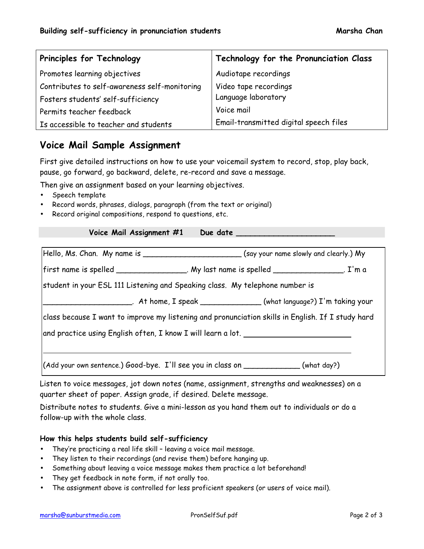| Principles for Technology                     | Technology for the Pronunciation Class |
|-----------------------------------------------|----------------------------------------|
| Promotes learning objectives                  | Audiotape recordings                   |
| Contributes to self-awareness self-monitoring | Video tape recordings                  |
| Fosters students' self-sufficiency            | Language laboratory                    |
| Permits teacher feedback                      | Voice mail                             |
| Is accessible to teacher and students         | Email-transmitted digital speech files |

## **Voice Mail Sample Assignment**

First give detailed instructions on how to use your voicemail system to record, stop, play back, pause, go forward, go backward, delete, re-record and save a message.

Then give an assignment based on your learning objectives.

- Speech template
- Record words, phrases, dialogs, paragraph (from the text or original)
- Record original compositions, respond to questions, etc.

| Hello, Ms. Chan. My name is ______________________________(say your name slowly and clearly.) My  |  |
|---------------------------------------------------------------------------------------------------|--|
| first name is spelled _________________. My last name is spelled ________________. I'm a          |  |
| student in your ESL 111 Listening and Speaking class. My telephone number is                      |  |
|                                                                                                   |  |
| class because I want to improve my listening and pronunciation skills in English. If I study hard |  |
| and practice using English often, I know I will learn a lot. ___________________                  |  |
|                                                                                                   |  |
| (Add your own sentence.) Good-bye. I'll see you in class on ____________(what day?)               |  |

Listen to voice messages, jot down notes (name, assignment, strengths and weaknesses) on a quarter sheet of paper. Assign grade, if desired. Delete message.

Distribute notes to students. Give a mini-lesson as you hand them out to individuals or do a follow-up with the whole class.

### **How this helps students build self-sufficiency**

- They're practicing a real life skill leaving a voice mail message.
- They listen to their recordings (and revise them) before hanging up.
- Something about leaving a voice message makes them practice a lot beforehand!
- They get feedback in note form, if not orally too.
- The assignment above is controlled for less proficient speakers (or users of voice mail).